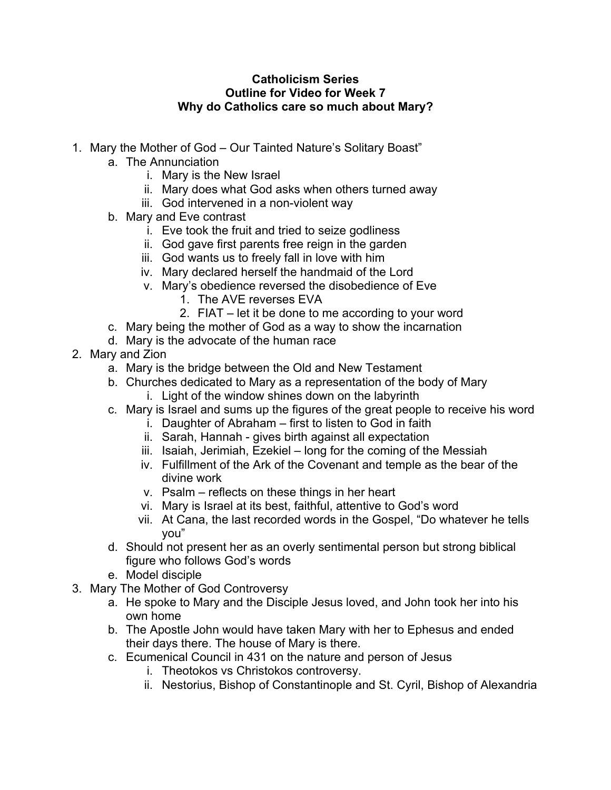## **Catholicism Series Outline for Video for Week 7 Why do Catholics care so much about Mary?**

- 1. Mary the Mother of God Our Tainted Nature's Solitary Boast"
	- a. The Annunciation
		- i. Mary is the New Israel
		- ii. Mary does what God asks when others turned away
		- iii. God intervened in a non-violent way
	- b. Mary and Eve contrast
		- i. Eve took the fruit and tried to seize godliness
		- ii. God gave first parents free reign in the garden
		- iii. God wants us to freely fall in love with him
		- iv. Mary declared herself the handmaid of the Lord
		- v. Mary's obedience reversed the disobedience of Eve
			- 1. The AVE reverses EVA
			- 2. FIAT let it be done to me according to your word
	- c. Mary being the mother of God as a way to show the incarnation
	- d. Mary is the advocate of the human race
- 2. Mary and Zion
	- a. Mary is the bridge between the Old and New Testament
	- b. Churches dedicated to Mary as a representation of the body of Mary
		- i. Light of the window shines down on the labyrinth
	- c. Mary is Israel and sums up the figures of the great people to receive his word
		- i. Daughter of Abraham first to listen to God in faith
		- ii. Sarah, Hannah gives birth against all expectation
		- iii. Isaiah, Jerimiah, Ezekiel long for the coming of the Messiah
		- iv. Fulfillment of the Ark of the Covenant and temple as the bear of the divine work
		- v. Psalm reflects on these things in her heart
		- vi. Mary is Israel at its best, faithful, attentive to God's word
		- vii. At Cana, the last recorded words in the Gospel, "Do whatever he tells you"
	- d. Should not present her as an overly sentimental person but strong biblical figure who follows God's words
	- e. Model disciple
- 3. Mary The Mother of God Controversy
	- a. He spoke to Mary and the Disciple Jesus loved, and John took her into his own home
	- b. The Apostle John would have taken Mary with her to Ephesus and ended their days there. The house of Mary is there.
	- c. Ecumenical Council in 431 on the nature and person of Jesus
		- i. Theotokos vs Christokos controversy.
		- ii. Nestorius, Bishop of Constantinople and St. Cyril, Bishop of Alexandria